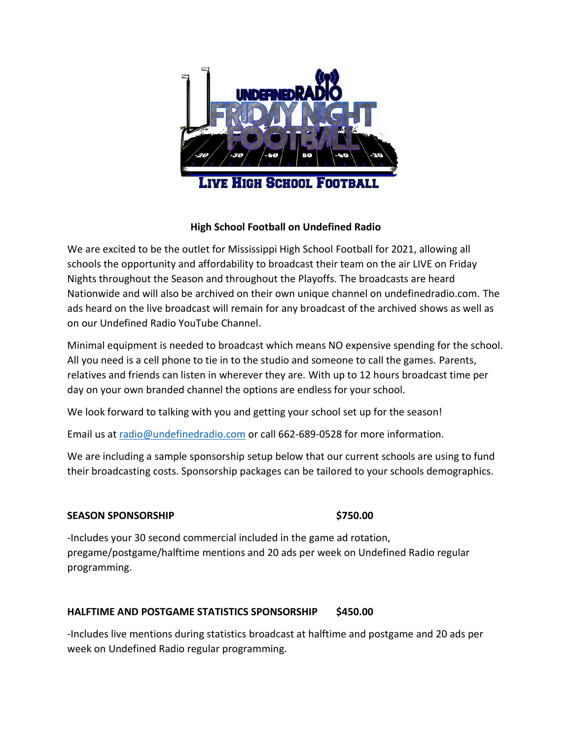

# **High School Football on Undefined Radio**

We are excited to be the outlet for Mississippi High School Football for 2021, allowing all schools the opportunity and affordability to broadcast their team on the air LIVE on Friday Nights throughout the Season and throughout the Playoffs. The broadcasts are heard Nationwide and will also be archived on their own unique channel on undefinedradio.com. The ads heard on the live broadcast will remain for any broadcast of the archived shows as well as on our Undefined Radio YouTube Channel.

Minimal equipment is needed to broadcast which means NO expensive spending for the school. All you need is a cell phone to tie in to the studio and someone to call the games. Parents, relatives and friends can listen in wherever they are. With up to 12 hours broadcast time per day on your own branded channel the options are endless for your school.

We look forward to talking with you and getting your school set up for the season!

Email us at [radio@undefinedradio.com](mailto:radio@undefinedradio.com) or call 662-689-0528 for more information.

We are including a sample sponsorship setup below that our current schools are using to fund their broadcasting costs. Sponsorship packages can be tailored to your schools demographics.

# **SEASON SPONSORSHIP \$750.00**

-Includes your 30 second commercial included in the game ad rotation, pregame/postgame/halftime mentions and 20 ads per week on Undefined Radio regular programming.

# **HALFTIME AND POSTGAME STATISTICS SPONSORSHIP \$450.00**

-Includes live mentions during statistics broadcast at halftime and postgame and 20 ads per week on Undefined Radio regular programming.